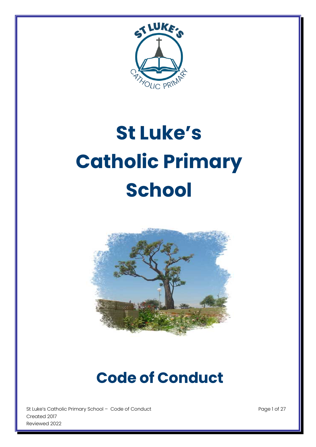

# **St Luke's Catholic Primary School**



# **Code of Conduct**

St Luke's Catholic Primary School - Code of Conduct Page 1 of 27 Created 2017 Reviewed 2022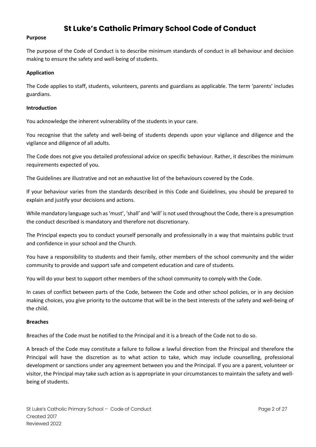# **St Luke's Catholic Primary School Code of Conduct**

#### **Purpose**

The purpose of the Code of Conduct is to describe minimum standards of conduct in all behaviour and decision making to ensure the safety and well-being of students.

#### **Application**

The Code applies to staff, students, volunteers, parents and guardians as applicable. The term 'parents' includes guardians.

#### **Introduction**

You acknowledge the inherent vulnerability of the students in your care.

You recognise that the safety and well-being of students depends upon your vigilance and diligence and the vigilance and diligence of all adults.

The Code does not give you detailed professional advice on specific behaviour. Rather, it describes the minimum requirements expected of you.

The Guidelines are illustrative and not an exhaustive list of the behaviours covered by the Code.

If your behaviour varies from the standards described in this Code and Guidelines, you should be prepared to explain and justify your decisions and actions.

While mandatory language such as 'must', 'shall' and 'will' is not used throughout the Code, there is a presumption the conduct described is mandatory and therefore not discretionary.

The Principal expects you to conduct yourself personally and professionally in a way that maintains public trust and confidence in your school and the Church.

You have a responsibility to students and their family, other members of the school community and the wider community to provide and support safe and competent education and care of students.

You will do your best to support other members of the school community to comply with the Code.

In cases of conflict between parts of the Code, between the Code and other school policies, or in any decision making choices, you give priority to the outcome that will be in the best interests of the safety and well-being of the child.

#### **Breaches**

Breaches of the Code must be notified to the Principal and it is a breach of the Code not to do so.

A breach of the Code may constitute a failure to follow a lawful direction from the Principal and therefore the Principal will have the discretion as to what action to take, which may include counselling, professional development or sanctions under any agreement between you and the Principal. If you are a parent, volunteer or visitor, the Principal may take such action as is appropriate in your circumstances to maintain the safety and wellbeing of students.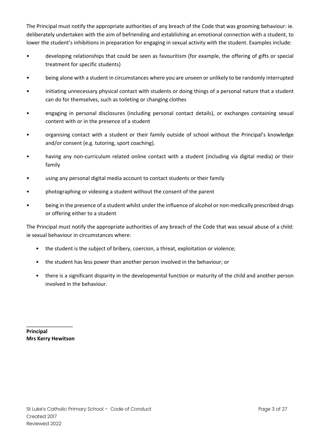The Principal must notify the appropriate authorities of any breach of the Code that was grooming behaviour: ie. deliberately undertaken with the aim of befriending and establishing an emotional connection with a student, to lower the student's inhibitions in preparation for engaging in sexual activity with the student. Examples include:

- developing relationships that could be seen as favouritism (for example, the offering of gifts or special treatment for specific students)
- being alone with a student in circumstances where you are unseen or unlikely to be randomly interrupted
- initiating unnecessary physical contact with students or doing things of a personal nature that a student can do for themselves, such as toileting or changing clothes
- engaging in personal disclosures (including personal contact details), or exchanges containing sexual content with or in the presence of a student
- organising contact with a student or their family outside of school without the Principal's knowledge and/or consent (e.g. tutoring, sport coaching).
- having any non-curriculum related online contact with a student (including via digital media) or their family
- using any personal digital media account to contact students or their family
- photographing or videoing a student without the consent of the parent
- being in the presence of a student whilst under the influence of alcohol or non-medically prescribed drugs or offering either to a student

The Principal must notify the appropriate authorities of any breach of the Code that was sexual abuse of a child: ie sexual behaviour in circumstances where:

- the student is the subject of bribery, coercion, a threat, exploitation or violence;
- the student has less power than another person involved in the behaviour; or
- there is a significant disparity in the developmental function or maturity of the child and another person involved in the behaviour.

**Principal Mrs Kerry Hewitson**

\_\_\_\_\_\_\_\_\_\_\_\_\_\_\_\_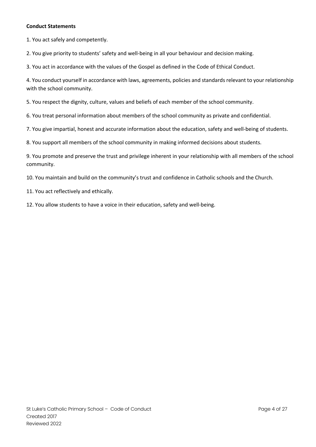1. You act safely and competently.

2. You give priority to students' safety and well-being in all your behaviour and decision making.

3. You act in accordance with the values of the Gospel as defined in the Code of Ethical Conduct.

4. You conduct yourself in accordance with laws, agreements, policies and standards relevant to your relationship with the school community.

5. You respect the dignity, culture, values and beliefs of each member of the school community.

6. You treat personal information about members of the school community as private and confidential.

7. You give impartial, honest and accurate information about the education, safety and well-being of students.

8. You support all members of the school community in making informed decisions about students.

9. You promote and preserve the trust and privilege inherent in your relationship with all members of the school community.

10. You maintain and build on the community's trust and confidence in Catholic schools and the Church.

11. You act reflectively and ethically.

12. You allow students to have a voice in their education, safety and well-being.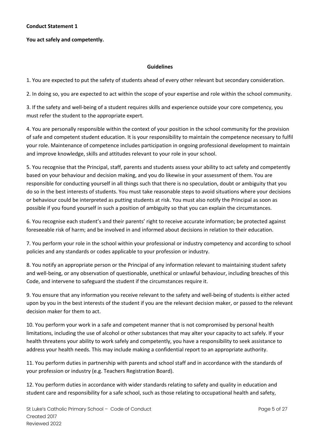# **You act safely and competently.**

#### **Guidelines**

1. You are expected to put the safety of students ahead of every other relevant but secondary consideration.

2. In doing so, you are expected to act within the scope of your expertise and role within the school community.

3. If the safety and well-being of a student requires skills and experience outside your core competency, you must refer the student to the appropriate expert.

4. You are personally responsible within the context of your position in the school community for the provision of safe and competent student education. It is your responsibility to maintain the competence necessary to fulfil your role. Maintenance of competence includes participation in ongoing professional development to maintain and improve knowledge, skills and attitudes relevant to your role in your school.

5. You recognise that the Principal, staff, parents and students assess your ability to act safety and competently based on your behaviour and decision making, and you do likewise in your assessment of them. You are responsible for conducting yourself in all things such that there is no speculation, doubt or ambiguity that you do so in the best interests of students. You must take reasonable steps to avoid situations where your decisions or behaviour could be interpreted as putting students at risk. You must also notify the Principal as soon as possible if you found yourself in such a position of ambiguity so that you can explain the circumstances.

6. You recognise each student's and their parents' right to receive accurate information; be protected against foreseeable risk of harm; and be involved in and informed about decisions in relation to their education.

7. You perform your role in the school within your professional or industry competency and according to school policies and any standards or codes applicable to your profession or industry.

8. You notify an appropriate person or the Principal of any information relevant to maintaining student safety and well-being, or any observation of questionable, unethical or unlawful behaviour, including breaches of this Code, and intervene to safeguard the student if the circumstances require it.

9. You ensure that any information you receive relevant to the safety and well-being of students is either acted upon by you in the best interests of the student if you are the relevant decision maker, or passed to the relevant decision maker for them to act.

10. You perform your work in a safe and competent manner that is not compromised by personal health limitations, including the use of alcohol or other substances that may alter your capacity to act safely. If your health threatens your ability to work safely and competently, you have a responsibility to seek assistance to address your health needs. This may include making a confidential report to an appropriate authority.

11. You perform duties in partnership with parents and school staff and in accordance with the standards of your profession or industry (e.g. Teachers Registration Board).

12. You perform duties in accordance with wider standards relating to safety and quality in education and student care and responsibility for a safe school, such as those relating to occupational health and safety,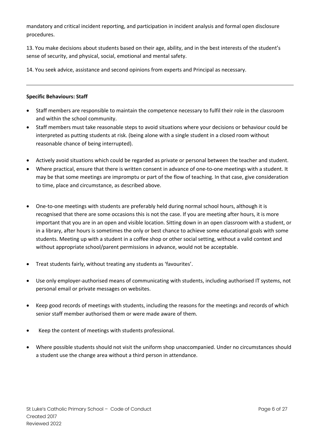mandatory and critical incident reporting, and participation in incident analysis and formal open disclosure procedures.

13. You make decisions about students based on their age, ability, and in the best interests of the student's sense of security, and physical, social, emotional and mental safety.

14. You seek advice, assistance and second opinions from experts and Principal as necessary.

# **Specific Behaviours: Staff**

- Staff members are responsible to maintain the competence necessary to fulfil their role in the classroom and within the school community.
- Staff members must take reasonable steps to avoid situations where your decisions or behaviour could be interpreted as putting students at risk. (being alone with a single student in a closed room without reasonable chance of being interrupted).
- Actively avoid situations which could be regarded as private or personal between the teacher and student.
- Where practical, ensure that there is written consent in advance of one-to-one meetings with a student. It may be that some meetings are impromptu or part of the flow of teaching. In that case, give consideration to time, place and circumstance, as described above.
- One-to-one meetings with students are preferably held during normal school hours, although it is recognised that there are some occasions this is not the case. If you are meeting after hours, it is more important that you are in an open and visible location. Sitting down in an open classroom with a student, or in a library, after hours is sometimes the only or best chance to achieve some educational goals with some students. Meeting up with a student in a coffee shop or other social setting, without a valid context and without appropriate school/parent permissions in advance, would not be acceptable.
- Treat students fairly, without treating any students as 'favourites'.
- Use only employer-authorised means of communicating with students, including authorised IT systems, not personal email or private messages on websites.
- Keep good records of meetings with students, including the reasons for the meetings and records of which senior staff member authorised them or were made aware of them.
- Keep the content of meetings with students professional.
- Where possible students should not visit the uniform shop unaccompanied. Under no circumstances should a student use the change area without a third person in attendance.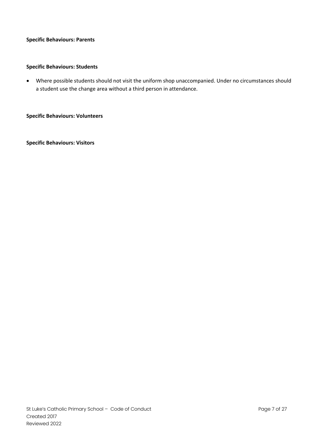# **Specific Behaviours: Parents**

# **Specific Behaviours: Students**

• Where possible students should not visit the uniform shop unaccompanied. Under no circumstances should a student use the change area without a third person in attendance.

**Specific Behaviours: Volunteers**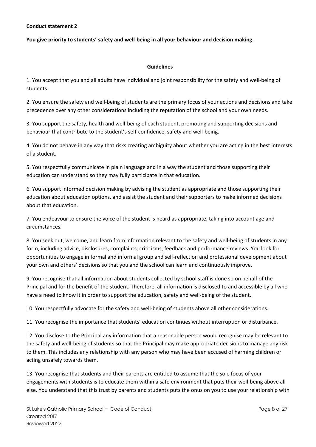# **You give priority to students' safety and well-being in all your behaviour and decision making.**

#### **Guidelines**

1. You accept that you and all adults have individual and joint responsibility for the safety and well-being of students.

2. You ensure the safety and well-being of students are the primary focus of your actions and decisions and take precedence over any other considerations including the reputation of the school and your own needs.

3. You support the safety, health and well-being of each student, promoting and supporting decisions and behaviour that contribute to the student's self-confidence, safety and well-being.

4. You do not behave in any way that risks creating ambiguity about whether you are acting in the best interests of a student.

5. You respectfully communicate in plain language and in a way the student and those supporting their education can understand so they may fully participate in that education.

6. You support informed decision making by advising the student as appropriate and those supporting their education about education options, and assist the student and their supporters to make informed decisions about that education.

7. You endeavour to ensure the voice of the student is heard as appropriate, taking into account age and circumstances.

8. You seek out, welcome, and learn from information relevant to the safety and well-being of students in any form, including advice, disclosures, complaints, criticisms, feedback and performance reviews. You look for opportunities to engage in formal and informal group and self-reflection and professional development about your own and others' decisions so that you and the school can learn and continuously improve.

9. You recognise that all information about students collected by school staff is done so on behalf of the Principal and for the benefit of the student. Therefore, all information is disclosed to and accessible by all who have a need to know it in order to support the education, safety and well-being of the student.

10. You respectfully advocate for the safety and well-being of students above all other considerations.

11. You recognise the importance that students' education continues without interruption or disturbance.

12. You disclose to the Principal any information that a reasonable person would recognise may be relevant to the safety and well-being of students so that the Principal may make appropriate decisions to manage any risk to them. This includes any relationship with any person who may have been accused of harming children or acting unsafely towards them.

13. You recognise that students and their parents are entitled to assume that the sole focus of your engagements with students is to educate them within a safe environment that puts their well-being above all else. You understand that this trust by parents and students puts the onus on you to use your relationship with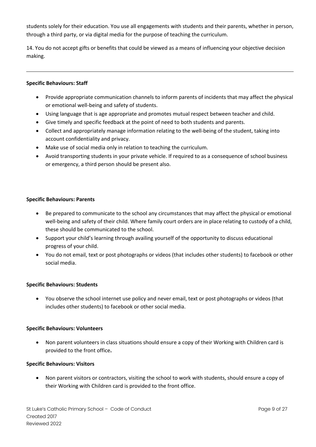students solely for their education. You use all engagements with students and their parents, whether in person, through a third party, or via digital media for the purpose of teaching the curriculum.

14. You do not accept gifts or benefits that could be viewed as a means of influencing your objective decision making.

# **Specific Behaviours: Staff**

- Provide appropriate communication channels to inform parents of incidents that may affect the physical or emotional well-being and safety of students.
- Using language that is age appropriate and promotes mutual respect between teacher and child.
- Give timely and specific feedback at the point of need to both students and parents.
- Collect and appropriately manage information relating to the well-being of the student, taking into account confidentiality and privacy.
- Make use of social media only in relation to teaching the curriculum.
- Avoid transporting students in your private vehicle. If required to as a consequence of school business or emergency, a third person should be present also.

# **Specific Behaviours: Parents**

- Be prepared to communicate to the school any circumstances that may affect the physical or emotional well-being and safety of their child. Where family court orders are in place relating to custody of a child, these should be communicated to the school.
- Support your child's learning through availing yourself of the opportunity to discuss educational progress of your child.
- You do not email, text or post photographs or videos (that includes other students) to facebook or other social media.

# **Specific Behaviours: Students**

• You observe the school internet use policy and never email, text or post photographs or videos (that includes other students) to facebook or other social media.

# **Specific Behaviours: Volunteers**

• Non parent volunteers in class situations should ensure a copy of their Working with Children card is provided to the front office**.**

# **Specific Behaviours: Visitors**

• Non parent visitors or contractors, visiting the school to work with students, should ensure a copy of their Working with Children card is provided to the front office.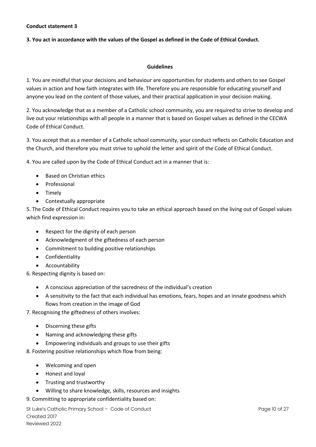# **3. You act in accordance with the values of the Gospel as defined in the Code of Ethical Conduct.**

# **Guidelines**

1. You are mindful that your decisions and behaviour are opportunities for students and others to see Gospel values in action and how faith integrates with life. Therefore you are responsible for educating yourself and anyone you lead on the content of those values, and their practical application in your decision making.

2. You acknowledge that as a member of a Catholic school community, you are required to strive to develop and live out your relationships with all people in a manner that is based on Gospel values as defined in the CECWA Code of Ethical Conduct.

3. You accept that as a member of a Catholic school community, your conduct reflects on Catholic Education and the Church, and therefore you must strive to uphold the letter and spirit of the Code of Ethical Conduct.

4. You are called upon by the Code of Ethical Conduct act in a manner that is:

- Based on Christian ethics
- **Professional**
- Timely
- Contextually appropriate

5. The Code of Ethical Conduct requires you to take an ethical approach based on the living out of Gospel values which find expression in:

- Respect for the dignity of each person
- Acknowledgment of the giftedness of each person
- Commitment to building positive relationships
- Confidentiality
- Accountability

6. Respecting dignity is based on:

- A conscious appreciation of the sacredness of the individual's creation
- A sensitivity to the fact that each individual has emotions, fears, hopes and an innate goodness which flows from creation in the image of God
- 7. Recognising the giftedness of others involves:
	- Discerning these gifts
	- Naming and acknowledging these gifts
	- Empowering individuals and groups to use their gifts

8. Fostering positive relationships which flow from being:

- Welcoming and open
- Honest and loyal
- Trusting and trustworthy
- Willing to share knowledge, skills, resources and insights

# 9. Committing to appropriate confidentiality based on:

St Luke's Catholic Primary School – Code of Conduct Page 10 of 27 Created 2017 Reviewed 2022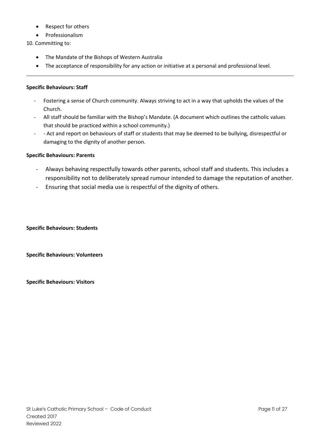- Respect for others
- Professionalism
- 10. Committing to:
	- The Mandate of the Bishops of Western Australia
	- The acceptance of responsibility for any action or initiative at a personal and professional level.

# **Specific Behaviours: Staff**

- Fostering a sense of Church community. Always striving to act in a way that upholds the values of the Church.
- All staff should be familiar with the Bishop's Mandate. (A document which outlines the catholic values that should be practiced within a school community.)
- - Act and report on behaviours of staff or students that may be deemed to be bullying, disrespectful or damaging to the dignity of another person.

# **Specific Behaviours: Parents**

- Always behaving respectfully towards other parents, school staff and students. This includes a responsibility not to deliberately spread rumour intended to damage the reputation of another.
- Ensuring that social media use is respectful of the dignity of others.

**Specific Behaviours: Students**

**Specific Behaviours: Volunteers**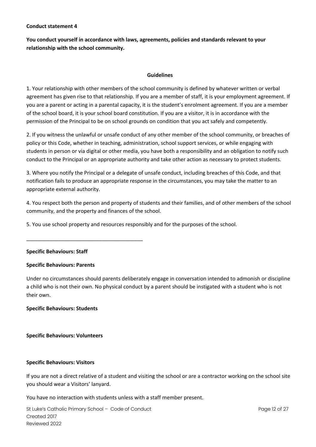**You conduct yourself in accordance with laws, agreements, policies and standards relevant to your relationship with the school community.**

# **Guidelines**

1. Your relationship with other members of the school community is defined by whatever written or verbal agreement has given rise to that relationship. If you are a member of staff, it is your employment agreement. If you are a parent or acting in a parental capacity, it is the student's enrolment agreement. If you are a member of the school board, it is your school board constitution. If you are a visitor, it is in accordance with the permission of the Principal to be on school grounds on condition that you act safely and competently.

2. If you witness the unlawful or unsafe conduct of any other member of the school community, or breaches of policy or this Code, whether in teaching, administration, school support services, or while engaging with students in person or via digital or other media, you have both a responsibility and an obligation to notify such conduct to the Principal or an appropriate authority and take other action as necessary to protect students.

3. Where you notify the Principal or a delegate of unsafe conduct, including breaches of this Code, and that notification fails to produce an appropriate response in the circumstances, you may take the matter to an appropriate external authority.

4. You respect both the person and property of students and their families, and of other members of the school community, and the property and finances of the school.

5. You use school property and resources responsibly and for the purposes of the school.

# **Specific Behaviours: Staff**

# **Specific Behaviours: Parents**

\_\_\_\_\_\_\_\_\_\_\_\_\_\_\_\_\_\_\_\_\_\_\_\_\_\_\_\_\_\_\_\_\_\_\_\_\_\_\_\_

Under no circumstances should parents deliberately engage in conversation intended to admonish or discipline a child who is not their own. No physical conduct by a parent should be instigated with a student who is not their own.

# **Specific Behaviours: Students**

# **Specific Behaviours: Volunteers**

# **Specific Behaviours: Visitors**

If you are not a direct relative of a student and visiting the school or are a contractor working on the school site you should wear a Visitors' lanyard.

You have no interaction with students unless with a staff member present.

St Luke's Catholic Primary School – Code of Conduct Page 12 of 27 Created 2017 Reviewed 2022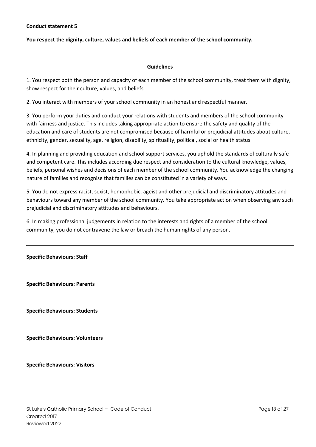# **You respect the dignity, culture, values and beliefs of each member of the school community.**

#### **Guidelines**

1. You respect both the person and capacity of each member of the school community, treat them with dignity, show respect for their culture, values, and beliefs.

2. You interact with members of your school community in an honest and respectful manner.

3. You perform your duties and conduct your relations with students and members of the school community with fairness and justice. This includes taking appropriate action to ensure the safety and quality of the education and care of students are not compromised because of harmful or prejudicial attitudes about culture, ethnicity, gender, sexuality, age, religion, disability, spirituality, political, social or health status.

4. In planning and providing education and school support services, you uphold the standards of culturally safe and competent care. This includes according due respect and consideration to the cultural knowledge, values, beliefs, personal wishes and decisions of each member of the school community. You acknowledge the changing nature of families and recognise that families can be constituted in a variety of ways.

5. You do not express racist, sexist, homophobic, ageist and other prejudicial and discriminatory attitudes and behaviours toward any member of the school community. You take appropriate action when observing any such prejudicial and discriminatory attitudes and behaviours.

6. In making professional judgements in relation to the interests and rights of a member of the school community, you do not contravene the law or breach the human rights of any person.

**Specific Behaviours: Staff**

**Specific Behaviours: Parents**

**Specific Behaviours: Students**

**Specific Behaviours: Volunteers**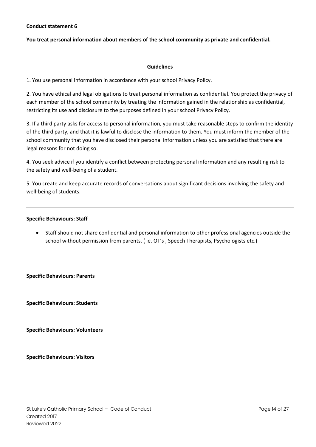#### **You treat personal information about members of the school community as private and confidential.**

#### **Guidelines**

1. You use personal information in accordance with your school Privacy Policy.

2. You have ethical and legal obligations to treat personal information as confidential. You protect the privacy of each member of the school community by treating the information gained in the relationship as confidential, restricting its use and disclosure to the purposes defined in your school Privacy Policy.

3. If a third party asks for access to personal information, you must take reasonable steps to confirm the identity of the third party, and that it is lawful to disclose the information to them. You must inform the member of the school community that you have disclosed their personal information unless you are satisfied that there are legal reasons for not doing so.

4. You seek advice if you identify a conflict between protecting personal information and any resulting risk to the safety and well-being of a student.

5. You create and keep accurate records of conversations about significant decisions involving the safety and well-being of students.

#### **Specific Behaviours: Staff**

• Staff should not share confidential and personal information to other professional agencies outside the school without permission from parents. ( ie. OT's , Speech Therapists, Psychologists etc.)

**Specific Behaviours: Parents**

**Specific Behaviours: Students**

**Specific Behaviours: Volunteers**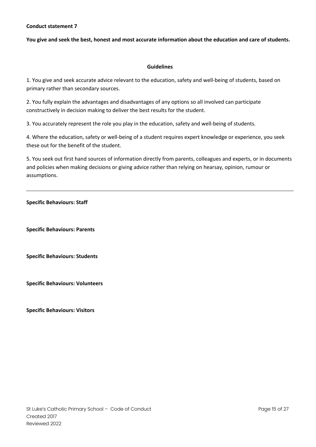#### **You give and seek the best, honest and most accurate information about the education and care of students.**

#### **Guidelines**

1. You give and seek accurate advice relevant to the education, safety and well-being of students, based on primary rather than secondary sources.

2. You fully explain the advantages and disadvantages of any options so all involved can participate constructively in decision making to deliver the best results for the student.

3. You accurately represent the role you play in the education, safety and well-being of students.

4. Where the education, safety or well-being of a student requires expert knowledge or experience, you seek these out for the benefit of the student.

5. You seek out first hand sources of information directly from parents, colleagues and experts, or in documents and policies when making decisions or giving advice rather than relying on hearsay, opinion, rumour or assumptions.

**Specific Behaviours: Staff**

**Specific Behaviours: Parents**

**Specific Behaviours: Students**

**Specific Behaviours: Volunteers**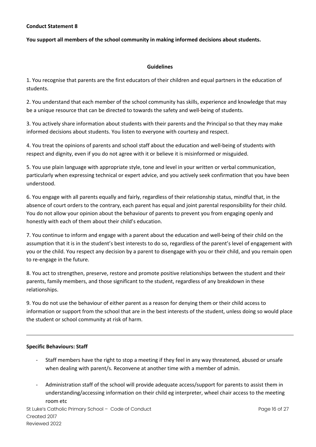# **You support all members of the school community in making informed decisions about students.**

# **Guidelines**

1. You recognise that parents are the first educators of their children and equal partners in the education of students.

2. You understand that each member of the school community has skills, experience and knowledge that may be a unique resource that can be directed to towards the safety and well-being of students.

3. You actively share information about students with their parents and the Principal so that they may make informed decisions about students. You listen to everyone with courtesy and respect.

4. You treat the opinions of parents and school staff about the education and well-being of students with respect and dignity, even if you do not agree with it or believe it is misinformed or misguided.

5. You use plain language with appropriate style, tone and level in your written or verbal communication, particularly when expressing technical or expert advice, and you actively seek confirmation that you have been understood.

6. You engage with all parents equally and fairly, regardless of their relationship status, mindful that, in the absence of court orders to the contrary, each parent has equal and joint parental responsibility for their child. You do not allow your opinion about the behaviour of parents to prevent you from engaging openly and honestly with each of them about their child's education.

7. You continue to inform and engage with a parent about the education and well-being of their child on the assumption that it is in the student's best interests to do so, regardless of the parent's level of engagement with you or the child. You respect any decision by a parent to disengage with you or their child, and you remain open to re-engage in the future.

8. You act to strengthen, preserve, restore and promote positive relationships between the student and their parents, family members, and those significant to the student, regardless of any breakdown in these relationships.

9. You do not use the behaviour of either parent as a reason for denying them or their child access to information or support from the school that are in the best interests of the student, unless doing so would place the student or school community at risk of harm.

# **Specific Behaviours: Staff**

- Staff members have the right to stop a meeting if they feel in any way threatened, abused or unsafe when dealing with parent/s. Reconvene at another time with a member of admin.
- Administration staff of the school will provide adequate access/support for parents to assist them in understanding/accessing information on their child eg interpreter, wheel chair access to the meeting room etc

St Luke's Catholic Primary School – Code of Conduct **Page 16 of 27** and 27 and 27 and 27 and 27 and 27 and 27 and 27 and 27 and 27 and 27 and 27 and 27 and 27 and 27 and 27 and 27 and 27 and 27 and 27 and 27 and 27 and 27 Created 2017 Reviewed 2022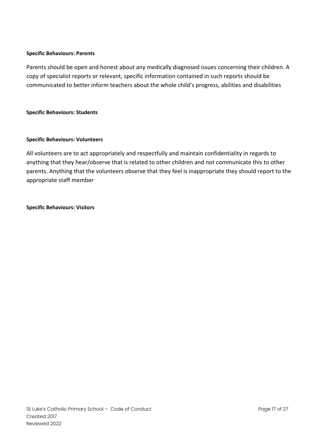# **Specific Behaviours: Parents**

Parents should be open and honest about any medically diagnosed issues concerning their children. A copy of specialist reports or relevant, specific information contained in such reports should be communicated to better inform teachers about the whole child's progress, abilities and disabilities

# **Specific Behaviours: Students**

# **Specific Behaviours: Volunteers**

All volunteers are to act appropriately and respectfully and maintain confidentiality in regards to anything that they hear/observe that is related to other children and not communicate this to other parents. Anything that the volunteers observe that they feel is inappropriate they should report to the appropriate staff member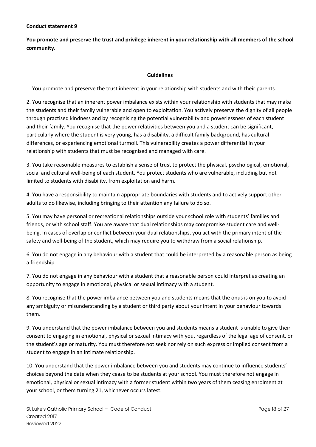**You promote and preserve the trust and privilege inherent in your relationship with all members of the school community.**

# **Guidelines**

1. You promote and preserve the trust inherent in your relationship with students and with their parents.

2. You recognise that an inherent power imbalance exists within your relationship with students that may make the students and their family vulnerable and open to exploitation. You actively preserve the dignity of all people through practised kindness and by recognising the potential vulnerability and powerlessness of each student and their family. You recognise that the power relativities between you and a student can be significant, particularly where the student is very young, has a disability, a difficult family background, has cultural differences, or experiencing emotional turmoil. This vulnerability creates a power differential in your relationship with students that must be recognised and managed with care.

3. You take reasonable measures to establish a sense of trust to protect the physical, psychological, emotional, social and cultural well-being of each student. You protect students who are vulnerable, including but not limited to students with disability, from exploitation and harm.

4. You have a responsibility to maintain appropriate boundaries with students and to actively support other adults to do likewise, including bringing to their attention any failure to do so.

5. You may have personal or recreational relationships outside your school role with students' families and friends, or with school staff. You are aware that dual relationships may compromise student care and wellbeing. In cases of overlap or conflict between your dual relationships, you act with the primary intent of the safety and well-being of the student, which may require you to withdraw from a social relationship.

6. You do not engage in any behaviour with a student that could be interpreted by a reasonable person as being a friendship.

7. You do not engage in any behaviour with a student that a reasonable person could interpret as creating an opportunity to engage in emotional, physical or sexual intimacy with a student.

8. You recognise that the power imbalance between you and students means that the onus is on you to avoid any ambiguity or misunderstanding by a student or third party about your intent in your behaviour towards them.

9. You understand that the power imbalance between you and students means a student is unable to give their consent to engaging in emotional, physical or sexual intimacy with you, regardless of the legal age of consent, or the student's age or maturity. You must therefore not seek nor rely on such express or implied consent from a student to engage in an intimate relationship.

10. You understand that the power imbalance between you and students may continue to influence students' choices beyond the date when they cease to be students at your school. You must therefore not engage in emotional, physical or sexual intimacy with a former student within two years of them ceasing enrolment at your school, or them turning 21, whichever occurs latest.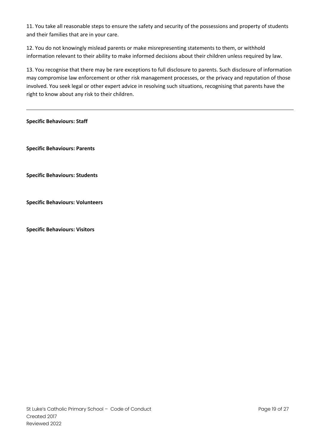11. You take all reasonable steps to ensure the safety and security of the possessions and property of students and their families that are in your care.

12. You do not knowingly mislead parents or make misrepresenting statements to them, or withhold information relevant to their ability to make informed decisions about their children unless required by law.

13. You recognise that there may be rare exceptions to full disclosure to parents. Such disclosure of information may compromise law enforcement or other risk management processes, or the privacy and reputation of those involved. You seek legal or other expert advice in resolving such situations, recognising that parents have the right to know about any risk to their children.

**Specific Behaviours: Staff**

**Specific Behaviours: Parents**

**Specific Behaviours: Students**

**Specific Behaviours: Volunteers**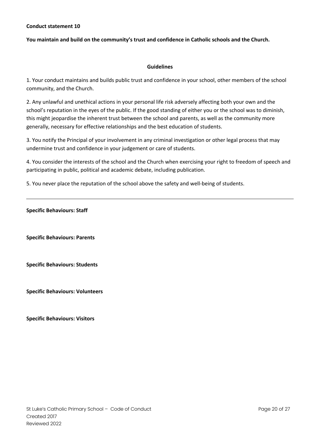#### **You maintain and build on the community's trust and confidence in Catholic schools and the Church.**

#### **Guidelines**

1. Your conduct maintains and builds public trust and confidence in your school, other members of the school community, and the Church.

2. Any unlawful and unethical actions in your personal life risk adversely affecting both your own and the school's reputation in the eyes of the public. If the good standing of either you or the school was to diminish, this might jeopardise the inherent trust between the school and parents, as well as the community more generally, necessary for effective relationships and the best education of students.

3. You notify the Principal of your involvement in any criminal investigation or other legal process that may undermine trust and confidence in your judgement or care of students.

4. You consider the interests of the school and the Church when exercising your right to freedom of speech and participating in public, political and academic debate, including publication.

5. You never place the reputation of the school above the safety and well-being of students.

**Specific Behaviours: Staff**

**Specific Behaviours: Parents**

**Specific Behaviours: Students**

**Specific Behaviours: Volunteers**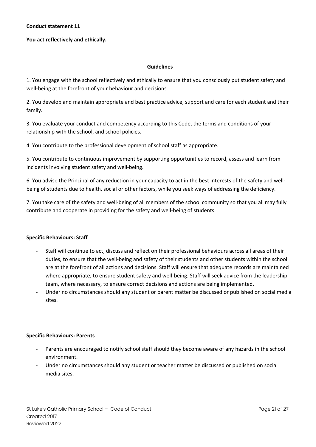# **You act reflectively and ethically.**

#### **Guidelines**

1. You engage with the school reflectively and ethically to ensure that you consciously put student safety and well-being at the forefront of your behaviour and decisions.

2. You develop and maintain appropriate and best practice advice, support and care for each student and their family.

3. You evaluate your conduct and competency according to this Code, the terms and conditions of your relationship with the school, and school policies.

4. You contribute to the professional development of school staff as appropriate.

5. You contribute to continuous improvement by supporting opportunities to record, assess and learn from incidents involving student safety and well-being.

6. You advise the Principal of any reduction in your capacity to act in the best interests of the safety and wellbeing of students due to health, social or other factors, while you seek ways of addressing the deficiency.

7. You take care of the safety and well-being of all members of the school community so that you all may fully contribute and cooperate in providing for the safety and well-being of students.

# **Specific Behaviours: Staff**

- Staff will continue to act, discuss and reflect on their professional behaviours across all areas of their duties, to ensure that the well-being and safety of their students and other students within the school are at the forefront of all actions and decisions. Staff will ensure that adequate records are maintained where appropriate, to ensure student safety and well-being. Staff will seek advice from the leadership team, where necessary, to ensure correct decisions and actions are being implemented.
- Under no circumstances should any student or parent matter be discussed or published on social media sites.

# **Specific Behaviours: Parents**

- Parents are encouraged to notify school staff should they become aware of any hazards in the school environment.
- Under no circumstances should any student or teacher matter be discussed or published on social media sites.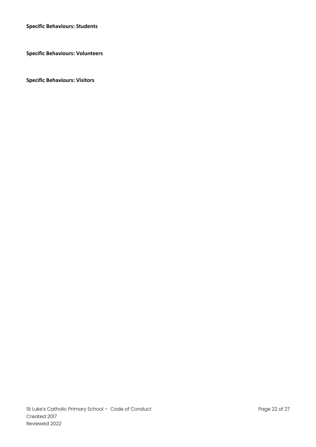**Specific Behaviours: Students**

**Specific Behaviours: Volunteers**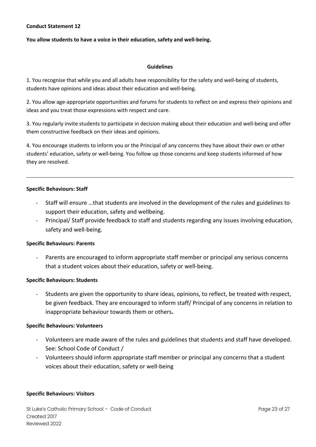# **You allow students to have a voice in their education, safety and well-being.**

#### **Guidelines**

1. You recognise that while you and all adults have responsibility for the safety and well-being of students, students have opinions and ideas about their education and well-being.

2. You allow age-appropriate opportunities and forums for students to reflect on and express their opinions and ideas and you treat those expressions with respect and care.

3. You regularly invite students to participate in decision making about their education and well-being and offer them constructive feedback on their ideas and opinions.

4. You encourage students to inform you or the Principal of any concerns they have about their own or other students' education, safety or well-being. You follow up those concerns and keep students informed of how they are resolved.

#### **Specific Behaviours: Staff**

- Staff will ensure …that students are involved in the development of the rules and guidelines to support their education, safety and wellbeing.
- Principal/ Staff provide feedback to staff and students regarding any issues involving education, safety and well-being.

# **Specific Behaviours: Parents**

Parents are encouraged to inform appropriate staff member or principal any serious concerns that a student voices about their education, safety or well-being.

# **Specific Behaviours: Students**

Students are given the opportunity to share ideas, opinions, to reflect, be treated with respect, be given feedback. They are encouraged to inform staff/ Principal of any concerns in relation to inappropriate behaviour towards them or others**.**

# **Specific Behaviours: Volunteers**

- Volunteers are made aware of the rules and guidelines that students and staff have developed. See: School Code of Conduct /
- Volunteers should inform appropriate staff member or principal any concerns that a student voices about their education, safety or well-being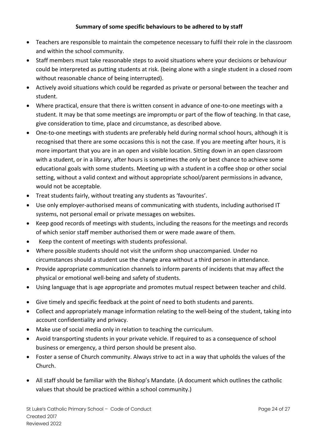# **Summary of some specific behaviours to be adhered to by staff**

- Teachers are responsible to maintain the competence necessary to fulfil their role in the classroom and within the school community.
- Staff members must take reasonable steps to avoid situations where your decisions or behaviour could be interpreted as putting students at risk. (being alone with a single student in a closed room without reasonable chance of being interrupted).
- Actively avoid situations which could be regarded as private or personal between the teacher and student.
- Where practical, ensure that there is written consent in advance of one-to-one meetings with a student. It may be that some meetings are impromptu or part of the flow of teaching. In that case, give consideration to time, place and circumstance, as described above.
- One-to-one meetings with students are preferably held during normal school hours, although it is recognised that there are some occasions this is not the case. If you are meeting after hours, it is more important that you are in an open and visible location. Sitting down in an open classroom with a student, or in a library, after hours is sometimes the only or best chance to achieve some educational goals with some students. Meeting up with a student in a coffee shop or other social setting, without a valid context and without appropriate school/parent permissions in advance, would not be acceptable.
- Treat students fairly, without treating any students as 'favourites'.
- Use only employer-authorised means of communicating with students, including authorised IT systems, not personal email or private messages on websites.
- Keep good records of meetings with students, including the reasons for the meetings and records of which senior staff member authorised them or were made aware of them.
- Keep the content of meetings with students professional.
- Where possible students should not visit the uniform shop unaccompanied. Under no circumstances should a student use the change area without a third person in attendance.
- Provide appropriate communication channels to inform parents of incidents that may affect the physical or emotional well-being and safety of students.
- Using language that is age appropriate and promotes mutual respect between teacher and child.
- Give timely and specific feedback at the point of need to both students and parents.
- Collect and appropriately manage information relating to the well-being of the student, taking into account confidentiality and privacy.
- Make use of social media only in relation to teaching the curriculum.
- Avoid transporting students in your private vehicle. If required to as a consequence of school business or emergency, a third person should be present also.
- Foster a sense of Church community. Always strive to act in a way that upholds the values of the Church.
- All staff should be familiar with the Bishop's Mandate. (A document which outlines the catholic values that should be practiced within a school community.)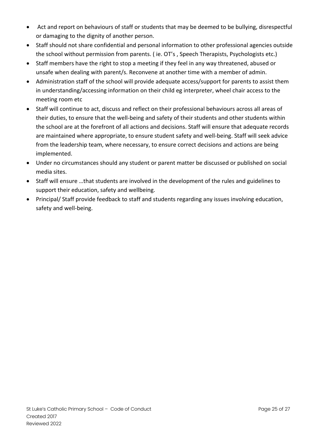- Act and report on behaviours of staff or students that may be deemed to be bullying, disrespectful or damaging to the dignity of another person.
- Staff should not share confidential and personal information to other professional agencies outside the school without permission from parents. ( ie. OT's , Speech Therapists, Psychologists etc.)
- Staff members have the right to stop a meeting if they feel in any way threatened, abused or unsafe when dealing with parent/s. Reconvene at another time with a member of admin.
- Administration staff of the school will provide adequate access/support for parents to assist them in understanding/accessing information on their child eg interpreter, wheel chair access to the meeting room etc
- Staff will continue to act, discuss and reflect on their professional behaviours across all areas of their duties, to ensure that the well-being and safety of their students and other students within the school are at the forefront of all actions and decisions. Staff will ensure that adequate records are maintained where appropriate, to ensure student safety and well-being. Staff will seek advice from the leadership team, where necessary, to ensure correct decisions and actions are being implemented.
- Under no circumstances should any student or parent matter be discussed or published on social media sites.
- Staff will ensure …that students are involved in the development of the rules and guidelines to support their education, safety and wellbeing.
- Principal/ Staff provide feedback to staff and students regarding any issues involving education, safety and well-being.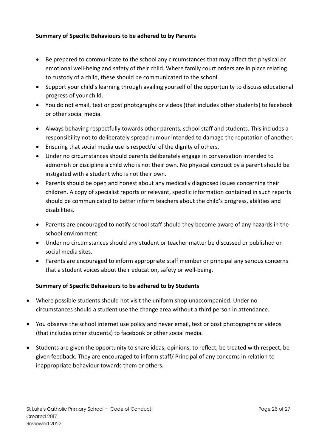# **Summary of Specific Behaviours to be adhered to by Parents**

- Be prepared to communicate to the school any circumstances that may affect the physical or emotional well-being and safety of their child. Where family court orders are in place relating to custody of a child, these should be communicated to the school.
- Support your child's learning through availing yourself of the opportunity to discuss educational progress of your child.
- You do not email, text or post photographs or videos (that includes other students) to facebook or other social media.
- Always behaving respectfully towards other parents, school staff and students. This includes a responsibility not to deliberately spread rumour intended to damage the reputation of another.
- Ensuring that social media use is respectful of the dignity of others.
- Under no circumstances should parents deliberately engage in conversation intended to admonish or discipline a child who is not their own. No physical conduct by a parent should be instigated with a student who is not their own.
- Parents should be open and honest about any medically diagnosed issues concerning their children. A copy of specialist reports or relevant, specific information contained in such reports should be communicated to better inform teachers about the child's progress, abilities and disabilities.
- Parents are encouraged to notify school staff should they become aware of any hazards in the school environment.
- Under no circumstances should any student or teacher matter be discussed or published on social media sites.
- Parents are encouraged to inform appropriate staff member or principal any serious concerns that a student voices about their education, safety or well-being.

# **Summary of Specific Behaviours to be adhered to by Students**

- Where possible students should not visit the uniform shop unaccompanied. Under no circumstances should a student use the change area without a third person in attendance.
- You observe the school internet use policy and never email, text or post photographs or videos (that includes other students) to facebook or other social media.
- Students are given the opportunity to share ideas, opinions, to reflect, be treated with respect, be given feedback. They are encouraged to inform staff/ Principal of any concerns in relation to inappropriate behaviour towards them or others**.**